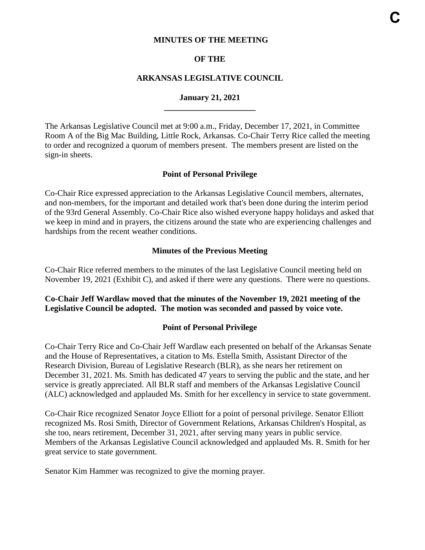#### **MINUTES OF THE MEETING**

#### **OF THE**

#### **ARKANSAS LEGISLATIVE COUNCIL**

#### **January 21, 2021 \_\_\_\_\_\_\_\_\_\_\_\_\_\_\_\_\_\_\_\_\_\_**

The Arkansas Legislative Council met at 9:00 a.m., Friday, December 17, 2021, in Committee Room A of the Big Mac Building, Little Rock, Arkansas. Co-Chair Terry Rice called the meeting to order and recognized a quorum of members present. The members present are listed on the sign-in sheets.

#### **Point of Personal Privilege**

Co-Chair Rice expressed appreciation to the Arkansas Legislative Council members, alternates, and non-members, for the important and detailed work that's been done during the interim period of the 93rd General Assembly. Co-Chair Rice also wished everyone happy holidays and asked that we keep in mind and in prayers, the citizens around the state who are experiencing challenges and hardships from the recent weather conditions.

#### **Minutes of the Previous Meeting**

Co-Chair Rice referred members to the minutes of the last Legislative Council meeting held on November 19, 2021 (Exhibit C), and asked if there were any questions. There were no questions.

#### **Co-Chair Jeff Wardlaw moved that the minutes of the November 19, 2021 meeting of the Legislative Council be adopted. The motion was seconded and passed by voice vote.**

#### **Point of Personal Privilege**

Co-Chair Terry Rice and Co-Chair Jeff Wardlaw each presented on behalf of the Arkansas Senate and the House of Representatives, a citation to Ms. Estella Smith, Assistant Director of the Research Division, Bureau of Legislative Research (BLR), as she nears her retirement on December 31, 2021. Ms. Smith has dedicated 47 years to serving the public and the state, and her service is greatly appreciated. All BLR staff and members of the Arkansas Legislative Council (ALC) acknowledged and applauded Ms. Smith for her excellency in service to state government.

Co-Chair Rice recognized Senator Joyce Elliott for a point of personal privilege. Senator Elliott recognized Ms. Rosi Smith, Director of Government Relations, Arkansas Children's Hospital, as she too, nears retirement, December 31, 2021, after serving many years in public service. Members of the Arkansas Legislative Council acknowledged and applauded Ms. R. Smith for her great service to state government.

Senator Kim Hammer was recognized to give the morning prayer.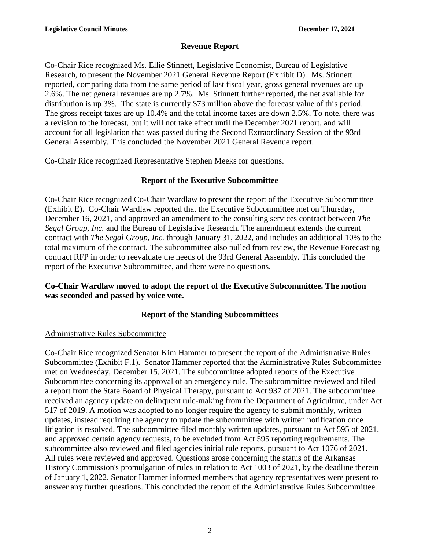# **Revenue Report**

Co-Chair Rice recognized Ms. Ellie Stinnett, Legislative Economist, Bureau of Legislative Research, to present the November 2021 General Revenue Report (Exhibit D). Ms. Stinnett reported, comparing data from the same period of last fiscal year, gross general revenues are up 2.6%. The net general revenues are up 2.7%. Ms. Stinnett further reported, the net available for distribution is up 3%. The state is currently \$73 million above the forecast value of this period. The gross receipt taxes are up 10.4% and the total income taxes are down 2.5%. To note, there was a revision to the forecast, but it will not take effect until the December 2021 report, and will account for all legislation that was passed during the Second Extraordinary Session of the 93rd General Assembly. This concluded the November 2021 General Revenue report.

Co-Chair Rice recognized Representative Stephen Meeks for questions.

# **Report of the Executive Subcommittee**

Co-Chair Rice recognized Co-Chair Wardlaw to present the report of the Executive Subcommittee (Exhibit E). Co-Chair Wardlaw reported that the Executive Subcommittee met on Thursday, December 16, 2021, and approved an amendment to the consulting services contract between *The Segal Group, Inc.* and the Bureau of Legislative Research*.* The amendment extends the current contract with *The Segal Group, Inc.* through January 31, 2022, and includes an additional 10% to the total maximum of the contract. The subcommittee also pulled from review, the Revenue Forecasting contract RFP in order to reevaluate the needs of the 93rd General Assembly. This concluded the report of the Executive Subcommittee, and there were no questions.

# **Co-Chair Wardlaw moved to adopt the report of the Executive Subcommittee. The motion was seconded and passed by voice vote.**

# **Report of the Standing Subcommittees**

# Administrative Rules Subcommittee

Co-Chair Rice recognized Senator Kim Hammer to present the report of the Administrative Rules Subcommittee (Exhibit F.1). Senator Hammer reported that the Administrative Rules Subcommittee met on Wednesday, December 15, 2021. The subcommittee adopted reports of the Executive Subcommittee concerning its approval of an emergency rule. The subcommittee reviewed and filed a report from the State Board of Physical Therapy, pursuant to Act 937 of 2021. The subcommittee received an agency update on delinquent rule-making from the Department of Agriculture, under Act 517 of 2019. A motion was adopted to no longer require the agency to submit monthly, written updates, instead requiring the agency to update the subcommittee with written notification once litigation is resolved. The subcommittee filed monthly written updates, pursuant to Act 595 of 2021, and approved certain agency requests, to be excluded from Act 595 reporting requirements. The subcommittee also reviewed and filed agencies initial rule reports, pursuant to Act 1076 of 2021. All rules were reviewed and approved. Questions arose concerning the status of the Arkansas History Commission's promulgation of rules in relation to Act 1003 of 2021, by the deadline therein of January 1, 2022. Senator Hammer informed members that agency representatives were present to answer any further questions. This concluded the report of the Administrative Rules Subcommittee.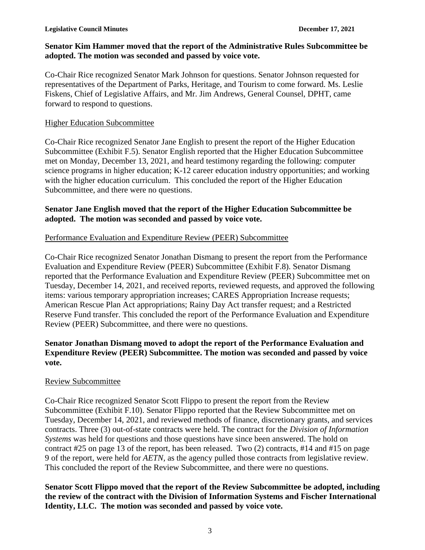#### **Senator Kim Hammer moved that the report of the Administrative Rules Subcommittee be adopted. The motion was seconded and passed by voice vote.**

Co-Chair Rice recognized Senator Mark Johnson for questions. Senator Johnson requested for representatives of the Department of Parks, Heritage, and Tourism to come forward. Ms. Leslie Fiskens, Chief of Legislative Affairs, and Mr. Jim Andrews, General Counsel, DPHT, came forward to respond to questions.

#### Higher Education Subcommittee

Co-Chair Rice recognized Senator Jane English to present the report of the Higher Education Subcommittee (Exhibit F.5). Senator English reported that the Higher Education Subcommittee met on Monday, December 13, 2021, and heard testimony regarding the following: computer science programs in higher education; K-12 career education industry opportunities; and working with the higher education curriculum. This concluded the report of the Higher Education Subcommittee, and there were no questions.

#### **Senator Jane English moved that the report of the Higher Education Subcommittee be adopted. The motion was seconded and passed by voice vote.**

#### Performance Evaluation and Expenditure Review (PEER) Subcommittee

Co-Chair Rice recognized Senator Jonathan Dismang to present the report from the Performance Evaluation and Expenditure Review (PEER) Subcommittee (Exhibit F.8). Senator Dismang reported that the Performance Evaluation and Expenditure Review (PEER) Subcommittee met on Tuesday, December 14, 2021, and received reports, reviewed requests, and approved the following items: various temporary appropriation increases; CARES Appropriation Increase requests; American Rescue Plan Act appropriations; Rainy Day Act transfer request; and a Restricted Reserve Fund transfer. This concluded the report of the Performance Evaluation and Expenditure Review (PEER) Subcommittee, and there were no questions.

# **Senator Jonathan Dismang moved to adopt the report of the Performance Evaluation and Expenditure Review (PEER) Subcommittee. The motion was seconded and passed by voice vote.**

#### Review Subcommittee

Co-Chair Rice recognized Senator Scott Flippo to present the report from the Review Subcommittee (Exhibit F.10). Senator Flippo reported that the Review Subcommittee met on Tuesday, December 14, 2021, and reviewed methods of finance, discretionary grants, and services contracts. Three (3) out-of-state contracts were held. The contract for the *Division of Information Systems* was held for questions and those questions have since been answered. The hold on contract #25 on page 13 of the report, has been released. Two (2) contracts, #14 and #15 on page 9 of the report, were held for *AETN,* as the agency pulled those contracts from legislative review. This concluded the report of the Review Subcommittee, and there were no questions.

**Senator Scott Flippo moved that the report of the Review Subcommittee be adopted, including the review of the contract with the Division of Information Systems and Fischer International Identity, LLC. The motion was seconded and passed by voice vote.**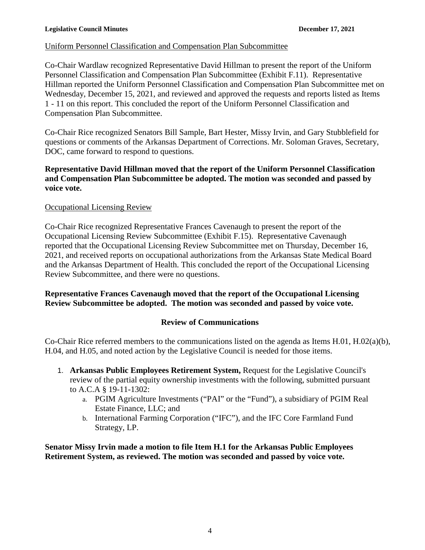# Uniform Personnel Classification and Compensation Plan Subcommittee

Co-Chair Wardlaw recognized Representative David Hillman to present the report of the Uniform Personnel Classification and Compensation Plan Subcommittee (Exhibit F.11). Representative Hillman reported the Uniform Personnel Classification and Compensation Plan Subcommittee met on Wednesday, December 15, 2021, and reviewed and approved the requests and reports listed as Items 1 - 11 on this report. This concluded the report of the Uniform Personnel Classification and Compensation Plan Subcommittee.

Co-Chair Rice recognized Senators Bill Sample, Bart Hester, Missy Irvin, and Gary Stubblefield for questions or comments of the Arkansas Department of Corrections. Mr. Soloman Graves, Secretary, DOC, came forward to respond to questions.

# **Representative David Hillman moved that the report of the Uniform Personnel Classification and Compensation Plan Subcommittee be adopted. The motion was seconded and passed by voice vote.**

# Occupational Licensing Review

Co-Chair Rice recognized Representative Frances Cavenaugh to present the report of the Occupational Licensing Review Subcommittee (Exhibit F.15). Representative Cavenaugh reported that the Occupational Licensing Review Subcommittee met on Thursday, December 16, 2021, and received reports on occupational authorizations from the Arkansas State Medical Board and the Arkansas Department of Health. This concluded the report of the Occupational Licensing Review Subcommittee, and there were no questions.

# **Representative Frances Cavenaugh moved that the report of the Occupational Licensing Review Subcommittee be adopted. The motion was seconded and passed by voice vote.**

# **Review of Communications**

Co-Chair Rice referred members to the communications listed on the agenda as Items H.01, H.02(a)(b), H.04, and H.05, and noted action by the Legislative Council is needed for those items.

- 1. **Arkansas Public Employees Retirement System,** Request for the Legislative Council's review of the partial equity ownership investments with the following, submitted pursuant to A.C.A § 19-11-1302:
	- a. PGIM Agriculture Investments ("PAI" or the "Fund"), a subsidiary of PGIM Real Estate Finance, LLC; and
	- b. International Farming Corporation ("IFC"), and the IFC Core Farmland Fund Strategy, LP.

**Senator Missy Irvin made a motion to file Item H.1 for the Arkansas Public Employees Retirement System, as reviewed. The motion was seconded and passed by voice vote.**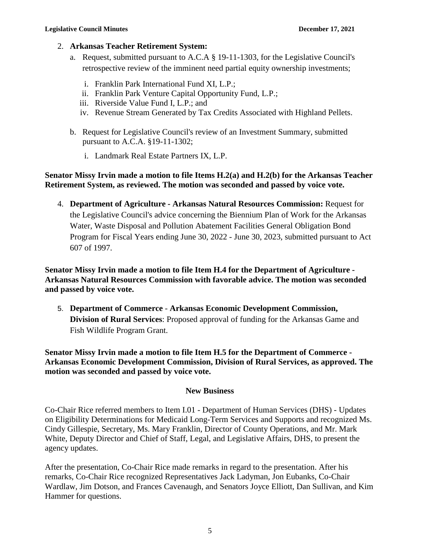#### 2. **Arkansas Teacher Retirement System:**

- a. Request, submitted pursuant to A.C.A § 19-11-1303, for the Legislative Council's retrospective review of the imminent need partial equity ownership investments;
	- i. Franklin Park International Fund XI, L.P.;
	- ii. Franklin Park Venture Capital Opportunity Fund, L.P.;
	- iii. Riverside Value Fund I, L.P.; and
	- iv. Revenue Stream Generated by Tax Credits Associated with Highland Pellets.
- b. Request for Legislative Council's review of an Investment Summary, submitted pursuant to A.C.A. §19-11-1302;
	- i. Landmark Real Estate Partners IX, L.P.

# **Senator Missy Irvin made a motion to file Items H.2(a) and H.2(b) for the Arkansas Teacher Retirement System, as reviewed. The motion was seconded and passed by voice vote.**

4. **Department of Agriculture - Arkansas Natural Resources Commission:** Request for the Legislative Council's advice concerning the Biennium Plan of Work for the Arkansas Water, Waste Disposal and Pollution Abatement Facilities General Obligation Bond Program for Fiscal Years ending June 30, 2022 - June 30, 2023, submitted pursuant to Act 607 of 1997.

**Senator Missy Irvin made a motion to file Item H.4 for the Department of Agriculture - Arkansas Natural Resources Commission with favorable advice. The motion was seconded and passed by voice vote.**

5. **Department of Commerce** - **Arkansas Economic Development Commission, Division of Rural Services**: Proposed approval of funding for the Arkansas Game and Fish Wildlife Program Grant.

**Senator Missy Irvin made a motion to file Item H.5 for the Department of Commerce - Arkansas Economic Development Commission, Division of Rural Services, as approved. The motion was seconded and passed by voice vote.**

#### **New Business**

Co-Chair Rice referred members to Item I.01 - Department of Human Services (DHS) - Updates on Eligibility Determinations for Medicaid Long-Term Services and Supports and recognized Ms. Cindy Gillespie, Secretary, Ms. Mary Franklin, Director of County Operations, and Mr. Mark White, Deputy Director and Chief of Staff, Legal, and Legislative Affairs, DHS, to present the agency updates.

After the presentation, Co-Chair Rice made remarks in regard to the presentation. After his remarks, Co-Chair Rice recognized Representatives Jack Ladyman, Jon Eubanks, Co-Chair Wardlaw, Jim Dotson, and Frances Cavenaugh, and Senators Joyce Elliott, Dan Sullivan, and Kim Hammer for questions.